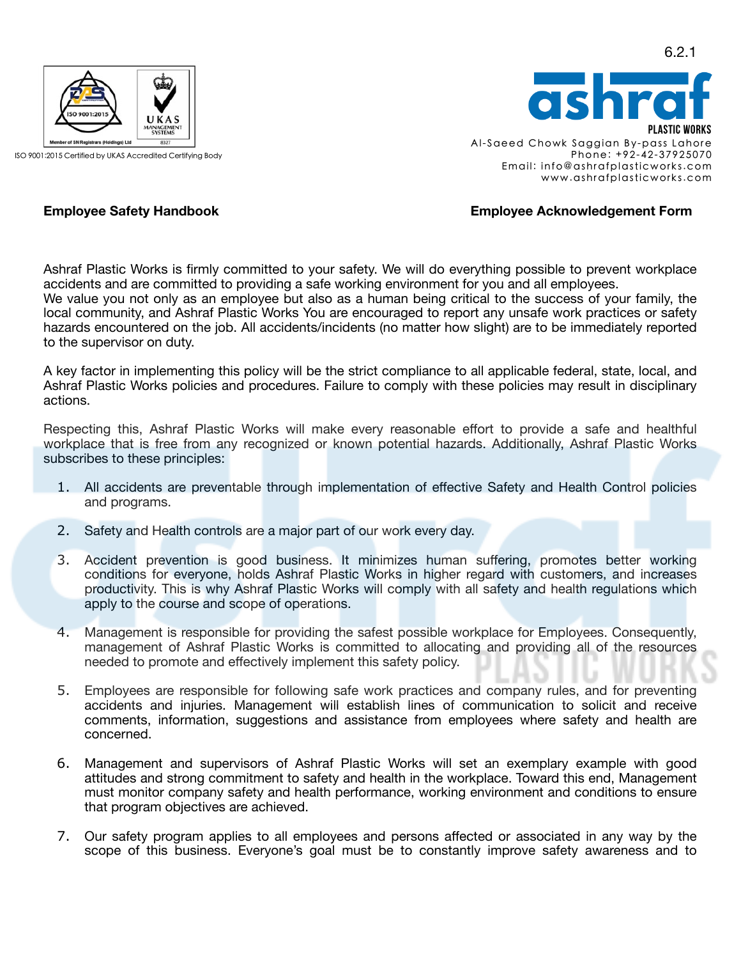

ISO 9001:2015 Certified by UKAS Accredited Certifying Body

PI ASTIC WORKS Al-Saeed Chowk Saggian By-pass Lahore Phone: +92-42-37925070 Email: info@ashrafplasticworks.com www.ashrafplasticworks.com

## **Employee Safety Handbook Employee Acknowledgement Form**

Ashraf Plastic Works is firmly committed to your safety. We will do everything possible to prevent workplace accidents and are committed to providing a safe working environment for you and all employees. We value you not only as an employee but also as a human being critical to the success of your family, the local community, and Ashraf Plastic Works You are encouraged to report any unsafe work practices or safety hazards encountered on the job. All accidents/incidents (no matter how slight) are to be immediately reported to the supervisor on duty.

A key factor in implementing this policy will be the strict compliance to all applicable federal, state, local, and Ashraf Plastic Works policies and procedures. Failure to comply with these policies may result in disciplinary actions.

Respecting this, Ashraf Plastic Works will make every reasonable effort to provide a safe and healthful workplace that is free from any recognized or known potential hazards. Additionally, Ashraf Plastic Works subscribes to these principles:

- 1. All accidents are preventable through implementation of effective Safety and Health Control policies and programs.
- 2. Safety and Health controls are a major part of our work every day.
- 3. Accident prevention is good business. It minimizes human suffering, promotes better working conditions for everyone, holds Ashraf Plastic Works in higher regard with customers, and increases productivity. This is why Ashraf Plastic Works will comply with all safety and health regulations which apply to the course and scope of operations.
- 4. Management is responsible for providing the safest possible workplace for Employees. Consequently, management of Ashraf Plastic Works is committed to allocating and providing all of the resources needed to promote and effectively implement this safety policy.
- 5. Employees are responsible for following safe work practices and company rules, and for preventing accidents and injuries. Management will establish lines of communication to solicit and receive comments, information, suggestions and assistance from employees where safety and health are concerned.
- 6. Management and supervisors of Ashraf Plastic Works will set an exemplary example with good attitudes and strong commitment to safety and health in the workplace. Toward this end, Management must monitor company safety and health performance, working environment and conditions to ensure that program objectives are achieved.
- 7. Our safety program applies to all employees and persons affected or associated in any way by the scope of this business. Everyone's goal must be to constantly improve safety awareness and to